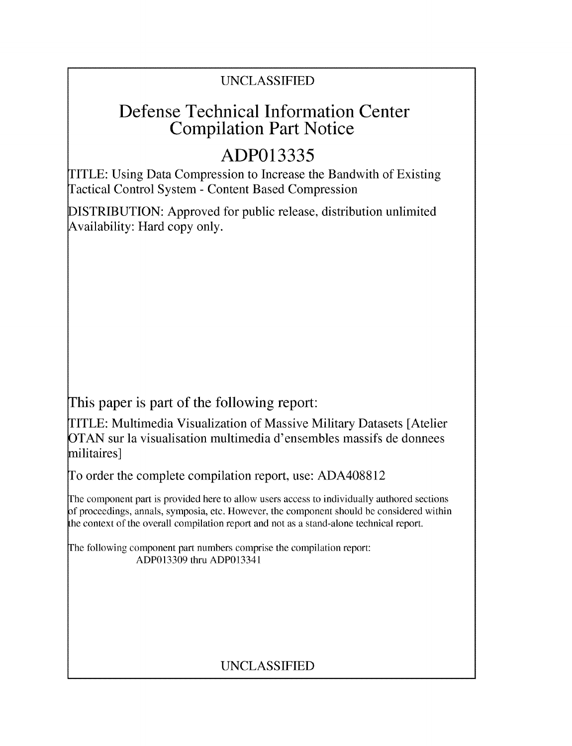## UNCLASSIFIED

## Defense Technical Information Center Compilation Part Notice

## **ADP013335**

TITLE: Using Data Compression to Increase the Bandwith of Existing Tactical Control System - Content Based Compression

DISTRIBUTION: Approved for public release, distribution unlimited Availability: Hard copy only.

This paper is part of the following report:

TITLE: Multimedia Visualization of Massive Military Datasets [Atelier OTAN sur la visualisation multimedia d'ensembles massifs de donnees militaires]

To order the complete compilation report, use: ADA408812

The component part is provided here to allow users access to individually authored sections **)f** proceedings, annals, symposia, etc. However, the component should be considered within [he context of the overall compilation report and not as a stand-alone technical report.

The following component part numbers comprise the compilation report: ADP013309 thru ADP013341

## UNCLASSIFIED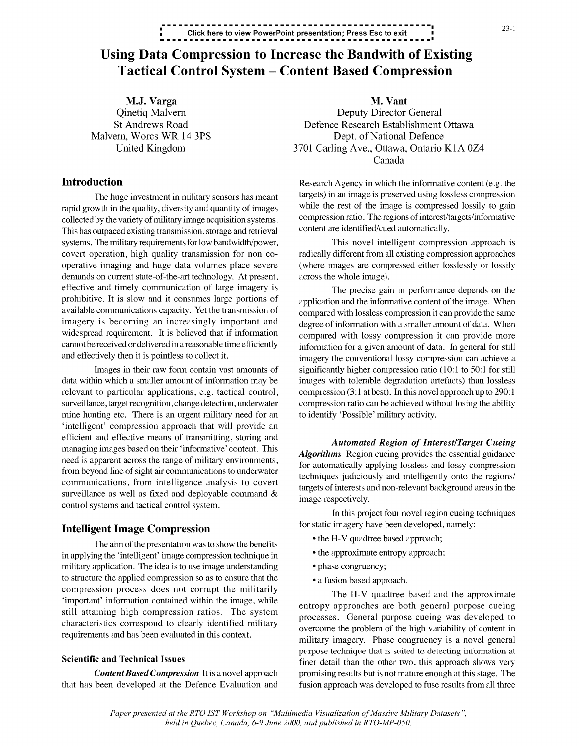## **<sup>1</sup>23-1 \*=** Click here to view PowerPoint presentation; Press Esc to exit **...............................................-**

# Using Data Compression to Increase the Bandwith of Existing Tactical Control System - Content Based Compression

rapid growth in the quality, diversity and quantity of images while the rest of the image is compressed lossily to gain<br>collected by the variety of military image acquisition systems compression ratio. The regions of inter collected by the variety of military image acquisition systems. compression ratio. The regions of interest/t<br>This has outpaced existing transmission, storage and retrieval content are identified/cued automatically. This has outpaced existing transmission, storage and retrieval systems. The military requirements for low bandwidth/power, This novel intelligent compression approach is covert operation, high quality transmission for non co- radically different from all existing compression approaches operative imaging and huge data volumes place severe (where images are compressed either losslessly or lossily demands on current state-of-the-art technology. At present, across the whole image). effective and timely communication of large imagery is The precise gain in performance depends on the prohibitive. It is slow and it consumes large portions of application and the informative content of the image. When available communications capacity. Yet the transmission of compared with lossless compression it can provide the same imagery is becoming an increasingly important and degree of information with a smaller amount of data. When widespread requirement. It is believed that if information compared with lossy compression it can provide more cannot be received or delivered in a reasonable time efficiently information for a given amount of data. In general for still

data within which a smaller amount of information may be images with tolerable degradation artefacts) than lossless relevant to particular applications, e.g. tactical control, compression (3:1 at best). In this novel approach up to 290:1 surveillance, target recognition, change detection, underwater compression ratio can be achieved without losing the ability mine hunting etc. There is an urgent military need for an to identify 'Possible' military activity. 'intelligent' compression approach that will provide an efficient and effective means of transmitting, storing and *Automated Region of Interest/Target Cueing* managing images based on their 'informative' content. This *Algorithms* Region cueing provides the essential guidance need is apparent across the range of military environments, for automatically applying lossless and lossy compression from beyond line of sight air communications to underwater techniques judiciously and intelligently onto the regions/ communications, from intelligence analysis to covert targets of interests and non-relevant background areas in the surveillance as well as fixed and deployable command  $\&$  image respectively.<br>
In this project four novel region cueing techniques

## Intelligent Image Compression for static imagery have been developed, namely:<br>  $\bullet$  the H-V quadtree based approach;

The aim of the presentation was to show the benefits<br> **Figure 11-V** quadrice based approach;<br> **The intervention of the function**  $\bullet$  the approximate entropy approach; in applying the 'intelligent' image compression technique in military application. The idea is to use image understanding • phase congruency; to structure the applied compression so as to ensure that the **\* a** fusion based approach. compression process does not corrupt the militarily The H-V quadtree based and the approximate 'important' information contained within the image, while entropy approaches are both general purpose cueing still attaining high compression ratios. The system processes. General purpose cueing was developed to characteristics correspond to clearly identified military overcome the problem of the high variability of content in

that has been developed at the Defence Evaluation and fusion approach was developed to fuse results from all three

**M.J. Varga M. Vant**<br> **M. Vant**<br> **M. Vant**<br> **M. Vant** Deputy Director General St Andrews Road Defence Research Establishment Ottawa Malvern, Worcs WR 14 3PS Dept. of National Defence United Kingdom 3701 Carling Ave., Ottawa, Ontario KIA 0Z4 Canada

Introduction Research Agency in which the informative content (e.g. the The huge investment in military sensors has meant targets) in an image is preserved using lossless compression<br>while the rest of the image is compressed lossily to gain

and effectively then it is pointless to collect it. imagery the conventional lossy compression can achieve a Images in their raw form contain vast amounts of significantly higher compression ratio (10:1 to 50:1 for still

- 
- 
- 
- 

requirements and has been evaluated in this context.<br>military imagery. Phase congruency is a novel general purpose technique that is suited to detecting information at Scientific and Technical Issues finer detail than the other two, this approach shows very *Content Based Compression* It is a novel approach promising results but is not mature enough at this stage. The

> *Paper presented at the RTO 1ST Workshop on "Multimedia Visualization of Massive Military Datasets held in Quebec, Canada, 6-9 June 2000, and published in RTO-MP-050.*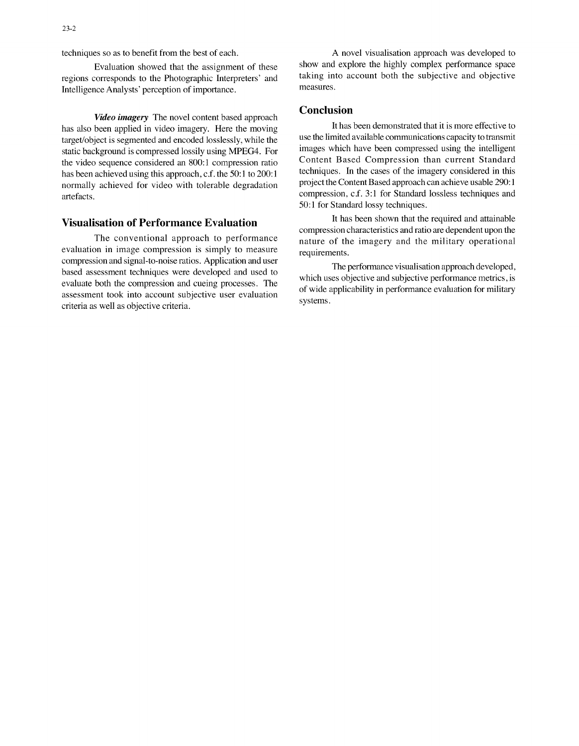regions corresponds to the Photographic Interpreters' and taking interpretence the subjective and objective and objective and objective and objective and objective and objective and objective and objective and objective an Intelligence Analysts' perception of importance.

*Video imagery* The novel content based approach has also been applied in video imagery. Here the moving It has been demonstrated that it is more effective to<br>the the moving that is examented and encoded losslessly while the use the limited available communications capac target/object is segmented and encoded losslessly, while the use the limited available communications capacity to transmit<br>static background is compressed lossly using MPFG4. For images which have been compressed using the static background is compressed lossily using MPEG4. For images which have been compressed using the intelligent<br>the video sequence considered an 800:1 compression ratio Content Based Compression than current Standard the video sequence considered an 800:1 compression ratio Content Based Compression than current Standard<br>has been achieved using this approach c f the 50:1 to 200:1 has been achieved using this approach, c.f. the 50:1 to 200:1 techniques. In the cases of the imagery considered in this proported in this project the Content Based approach can achieve usable 290:1 normally achieved for video with tolerable degradation artefacts. The compression, c.f. 3:1 for Standard lossless techniques and compression, c.f. 3:1 for Standard lossless techniques and

evaluation in image compression is simply to measure requirements. compression and signal-to-noise ratios. Application and user The performance visualisation approach developed, based assessment techniques were developed and used to which uses objective and subjective performance metrics, is evaluate both the compression and cueing processes. The of wide applicability in performance evaluation for military assessment took into account subjective user evaluation  $\frac{01 \text{ W10e}}{\text{systems}}$ . criteria as well as objective criteria.

techniques so as to benefit from the best of each. A novel visualisation approach was developed to Evaluation showed that the assignment of these show and explore the highly complex performance space<br>corresponds to the Photographic Interpreters' and taking into account both the subjective and objective

### **Conclusion**

50:1 for Standard lossy techniques.

Visualisation of Performance Evaluation It has been shown that the required and attainable compression characteristics and ratio are dependent upon the The conventional approach to performance nature of the imagery and the military operational